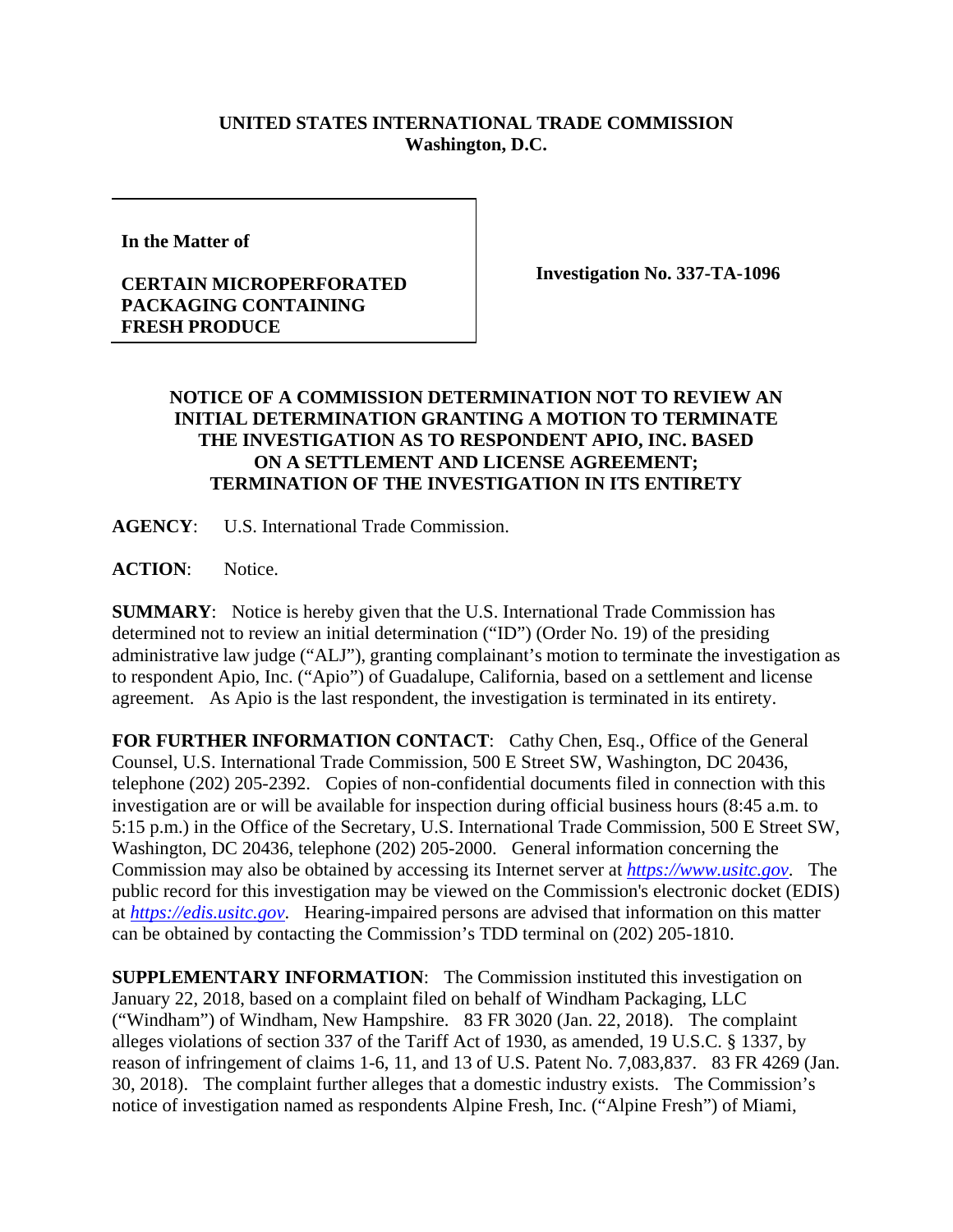## **UNITED STATES INTERNATIONAL TRADE COMMISSION Washington, D.C.**

**In the Matter of** 

## **CERTAIN MICROPERFORATED PACKAGING CONTAINING FRESH PRODUCE**

**Investigation No. 337-TA-1096** 

## **NOTICE OF A COMMISSION DETERMINATION NOT TO REVIEW AN INITIAL DETERMINATION GRANTING A MOTION TO TERMINATE THE INVESTIGATION AS TO RESPONDENT APIO, INC. BASED ON A SETTLEMENT AND LICENSE AGREEMENT; TERMINATION OF THE INVESTIGATION IN ITS ENTIRETY**

**AGENCY**: U.S. International Trade Commission.

ACTION: Notice.

**SUMMARY**: Notice is hereby given that the U.S. International Trade Commission has determined not to review an initial determination ("ID") (Order No. 19) of the presiding administrative law judge ("ALJ"), granting complainant's motion to terminate the investigation as to respondent Apio, Inc. ("Apio") of Guadalupe, California, based on a settlement and license agreement. As Apio is the last respondent, the investigation is terminated in its entirety.

FOR FURTHER INFORMATION CONTACT: Cathy Chen, Esq., Office of the General Counsel, U.S. International Trade Commission, 500 E Street SW, Washington, DC 20436, telephone (202) 205-2392. Copies of non-confidential documents filed in connection with this investigation are or will be available for inspection during official business hours (8:45 a.m. to 5:15 p.m.) in the Office of the Secretary, U.S. International Trade Commission, 500 E Street SW, Washington, DC 20436, telephone (202) 205-2000. General information concerning the Commission may also be obtained by accessing its Internet server at *https://www.usitc.gov*. The public record for this investigation may be viewed on the Commission's electronic docket (EDIS) at *https://edis.usitc.gov*. Hearing-impaired persons are advised that information on this matter can be obtained by contacting the Commission's TDD terminal on (202) 205-1810.

**SUPPLEMENTARY INFORMATION**: The Commission instituted this investigation on January 22, 2018, based on a complaint filed on behalf of Windham Packaging, LLC ("Windham") of Windham, New Hampshire. 83 FR 3020 (Jan. 22, 2018). The complaint alleges violations of section 337 of the Tariff Act of 1930, as amended, 19 U.S.C. § 1337, by reason of infringement of claims 1-6, 11, and 13 of U.S. Patent No. 7,083,837. 83 FR 4269 (Jan. 30, 2018). The complaint further alleges that a domestic industry exists. The Commission's notice of investigation named as respondents Alpine Fresh, Inc. ("Alpine Fresh") of Miami,